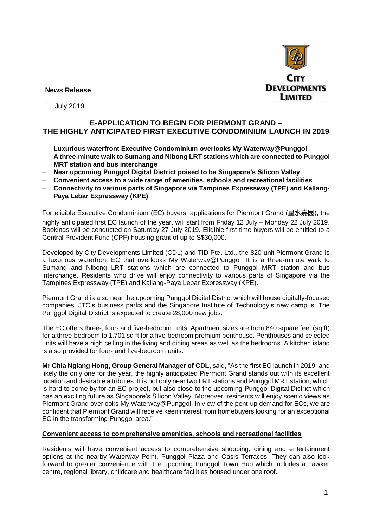

**News Release** 

11 July 2019

# **E-APPLICATION TO BEGIN FOR PIERMONT GRAND – THE HIGHLY ANTICIPATED FIRST EXECUTIVE CONDOMINIUM LAUNCH IN 2019**

- − **Luxurious waterfront Executive Condominium overlooks My Waterway@Punggol**
- − **A three-minute walk to Sumang and Nibong LRT stations which are connected to Punggol MRT station and bus interchange**
- − **Near upcoming Punggol Digital District poised to be Singapore's Silicon Valley**
- − **Convenient access to a wide range of amenities, schools and recreational facilities**
- − **Connectivity to various parts of Singapore via Tampines Expressway (TPE) and Kallang-Paya Lebar Expressway (KPE)**

For eligible Executive Condominium (EC) buyers, applications for Piermont Grand (星水嘉园), the highly anticipated first EC launch of the year, will start from Friday 12 July – Monday 22 July 2019. Bookings will be conducted on Saturday 27 July 2019. Eligible first-time buyers will be entitled to a Central Provident Fund (CPF) housing grant of up to S\$30,000.

Developed by City Developments Limited (CDL) and TID Pte. Ltd., the 820-unit Piermont Grand is a luxurious waterfront EC that overlooks My Waterway@Punggol. It is a three-minute walk to Sumang and Nibong LRT stations which are connected to Punggol MRT station and bus interchange. Residents who drive will enjoy connectivity to various parts of Singapore via the Tampines Expressway (TPE) and Kallang-Paya Lebar Expressway (KPE).

Piermont Grand is also near the upcoming Punggol Digital District which will house digitally-focused companies, JTC's business parks and the Singapore Institute of Technology's new campus. The Punggol Digital District is expected to create 28,000 new jobs.

The EC offers three-, four- and five-bedroom units. Apartment sizes are from 840 square feet (sq ft) for a three-bedroom to 1,701 sq ft for a five-bedroom premium penthouse. Penthouses and selected units will have a high ceiling in the living and dining areas as well as the bedrooms. A kitchen island is also provided for four- and five-bedroom units.

**Mr Chia Ngiang Hong, Group General Manager of CDL**, said, "As the first EC launch in 2019, and likely the only one for the year, the highly anticipated Piermont Grand stands out with its excellent location and desirable attributes. It is not only near two LRT stations and Punggol MRT station, which is hard to come by for an EC project, but also close to the upcoming Punggol Digital District which has an exciting future as Singapore's Silicon Valley. Moreover, residents will enjoy scenic views as Piermont Grand overlooks My Waterway@Punggol. In view of the pent-up demand for ECs, we are confident that Piermont Grand will receive keen interest from homebuyers looking for an exceptional EC in the transforming Punggol area."

#### **Convenient access to comprehensive amenities, schools and recreational facilities**

Residents will have convenient access to comprehensive shopping, dining and entertainment options at the nearby Waterway Point, Punggol Plaza and Oasis Terraces. They can also look forward to greater convenience with the upcoming Punggol Town Hub which includes a hawker centre, regional library, childcare and healthcare facilities housed under one roof.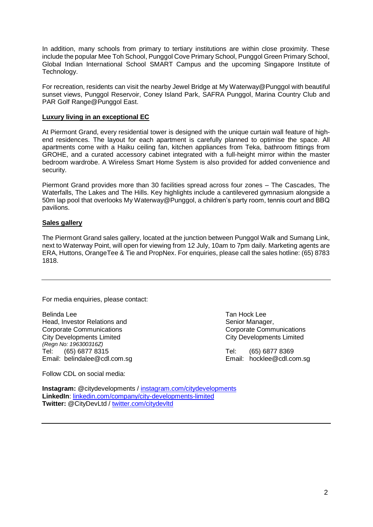In addition, many schools from primary to tertiary institutions are within close proximity. These include the popular Mee Toh School, Punggol Cove Primary School, Punggol Green Primary School, Global Indian International School SMART Campus and the upcoming Singapore Institute of Technology.

For recreation, residents can visit the nearby Jewel Bridge at My Waterway@Punggol with beautiful sunset views, Punggol Reservoir, Coney Island Park, SAFRA Punggol, Marina Country Club and PAR Golf Range@Punggol East.

### **Luxury living in an exceptional EC**

At Piermont Grand, every residential tower is designed with the unique curtain wall feature of highend residences. The layout for each apartment is carefully planned to optimise the space. All apartments come with a Haiku ceiling fan, kitchen appliances from Teka, bathroom fittings from GROHE, and a curated accessory cabinet integrated with a full-height mirror within the master bedroom wardrobe. A Wireless Smart Home System is also provided for added convenience and security.

Piermont Grand provides more than 30 facilities spread across four zones – The Cascades, The Waterfalls, The Lakes and The Hills. Key highlights include a cantilevered gymnasium alongside a 50m lap pool that overlooks My Waterway@Punggol, a children's party room, tennis court and BBQ pavilions.

## **Sales gallery**

The Piermont Grand sales gallery, located at the junction between Punggol Walk and Sumang Link, next to Waterway Point, will open for viewing from 12 July, 10am to 7pm daily. Marketing agents are ERA, Huttons, OrangeTee & Tie and PropNex. For enquiries, please call the sales hotline: (65) 8783 1818.

For media enquiries, please contact:

Belinda Lee Tan Hock Lee Head, Investor Relations and Senior Manager, Senior Manager, Corporate Communications Corporate Communications City Developments Limited City Developments Limited *(Regn No: 196300316Z)* Tel: (65) 6877 8315 Tel: (65) 6877 8369 Email: [belindalee@cdl.com.sg](mailto:belindalee@cdl.com.sg) Email: [hocklee@cdl.com.sg](mailto:hocklee@cdl.com.sg)

Follow CDL on social media:

**Instagram:** @citydevelopments / [instagram.com/citydevelopments](https://www.instagram.com/citydevelopments/) **LinkedIn**: [linkedin.com/company/city-developments-limited](https://www.linkedin.com/company/city-developments-limited)  **Twitter:** @CityDevLtd / [twitter.com/citydevltd](https://twitter.com/citydevltd)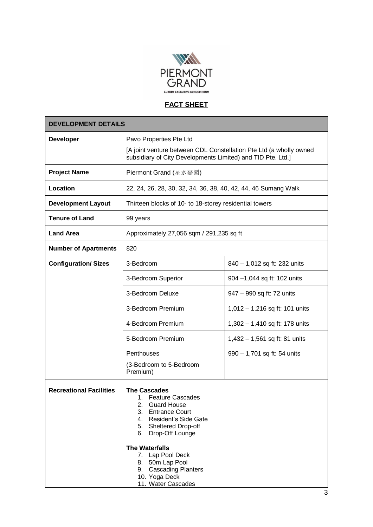

# **FACT SHEET**

| <b>DEVELOPMENT DETAILS</b>     |                                                                                                                                                                                                                                                                                                                                           |                                  |
|--------------------------------|-------------------------------------------------------------------------------------------------------------------------------------------------------------------------------------------------------------------------------------------------------------------------------------------------------------------------------------------|----------------------------------|
| <b>Developer</b>               | Pavo Properties Pte Ltd                                                                                                                                                                                                                                                                                                                   |                                  |
|                                | [A joint venture between CDL Constellation Pte Ltd (a wholly owned<br>subsidiary of City Developments Limited) and TID Pte. Ltd.]                                                                                                                                                                                                         |                                  |
| <b>Project Name</b>            | Piermont Grand (星水嘉园)                                                                                                                                                                                                                                                                                                                     |                                  |
| Location                       | 22, 24, 26, 28, 30, 32, 34, 36, 38, 40, 42, 44, 46 Sumang Walk                                                                                                                                                                                                                                                                            |                                  |
| <b>Development Layout</b>      | Thirteen blocks of 10- to 18-storey residential towers                                                                                                                                                                                                                                                                                    |                                  |
| <b>Tenure of Land</b>          | 99 years                                                                                                                                                                                                                                                                                                                                  |                                  |
| <b>Land Area</b>               | Approximately 27,056 sqm / 291,235 sq ft                                                                                                                                                                                                                                                                                                  |                                  |
| <b>Number of Apartments</b>    | 820                                                                                                                                                                                                                                                                                                                                       |                                  |
| <b>Configuration/ Sizes</b>    | 3-Bedroom                                                                                                                                                                                                                                                                                                                                 | 840 - 1,012 sq ft: 232 units     |
|                                | 3-Bedroom Superior                                                                                                                                                                                                                                                                                                                        | 904 -1,044 sq ft: 102 units      |
|                                | 3-Bedroom Deluxe                                                                                                                                                                                                                                                                                                                          | 947 - 990 sq ft: 72 units        |
|                                | 3-Bedroom Premium                                                                                                                                                                                                                                                                                                                         | $1,012 - 1,216$ sq ft: 101 units |
|                                | 4-Bedroom Premium                                                                                                                                                                                                                                                                                                                         | 1,302 - 1,410 sq ft: 178 units   |
|                                | 5-Bedroom Premium                                                                                                                                                                                                                                                                                                                         | $1,432 - 1,561$ sq ft: 81 units  |
|                                | Penthouses                                                                                                                                                                                                                                                                                                                                | 990 - 1,701 sq ft: 54 units      |
|                                | (3-Bedroom to 5-Bedroom<br>Premium)                                                                                                                                                                                                                                                                                                       |                                  |
| <b>Recreational Facilities</b> | <b>The Cascades</b><br>1. Feature Cascades<br>2.<br><b>Guard House</b><br>3.<br><b>Entrance Court</b><br>Resident's Side Gate<br>4.<br>5.<br><b>Sheltered Drop-off</b><br>Drop-Off Lounge<br>6.<br><b>The Waterfalls</b><br>7. Lap Pool Deck<br>8. 50m Lap Pool<br><b>Cascading Planters</b><br>9.<br>10. Yoga Deck<br>11. Water Cascades |                                  |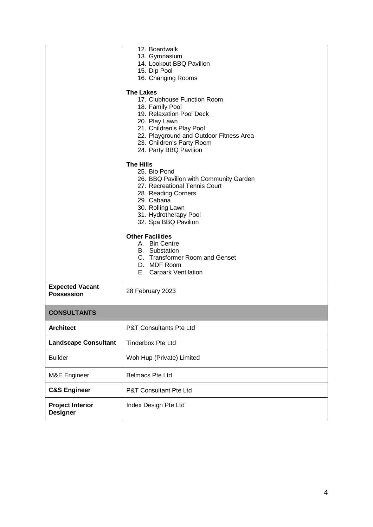|                                             | 12. Boardwalk<br>13. Gymnasium<br>14. Lookout BBQ Pavilion<br>15. Dip Pool<br>16. Changing Rooms<br><b>The Lakes</b><br>17. Clubhouse Function Room<br>18. Family Pool<br>19. Relaxation Pool Deck                                                                                                                                                                   |  |
|---------------------------------------------|----------------------------------------------------------------------------------------------------------------------------------------------------------------------------------------------------------------------------------------------------------------------------------------------------------------------------------------------------------------------|--|
|                                             | 20. Play Lawn<br>21. Children's Play Pool<br>22. Playground and Outdoor Fitness Area<br>23. Children's Party Room<br>24. Party BBQ Pavilion                                                                                                                                                                                                                          |  |
|                                             | <b>The Hills</b><br>25. Bio Pond<br>26. BBQ Pavilion with Community Garden<br>27. Recreational Tennis Court<br>28. Reading Corners<br>29. Cabana<br>30. Rolling Lawn<br>31. Hydrotherapy Pool<br>32. Spa BBQ Pavilion<br><b>Other Facilities</b><br>A. Bin Centre<br><b>B.</b> Substation<br>C. Transformer Room and Genset<br>D. MDF Room<br>E. Carpark Ventilation |  |
| <b>Expected Vacant</b><br><b>Possession</b> | 28 February 2023                                                                                                                                                                                                                                                                                                                                                     |  |
| <b>CONSULTANTS</b>                          |                                                                                                                                                                                                                                                                                                                                                                      |  |
| <b>Architect</b>                            | P&T Consultants Pte Ltd                                                                                                                                                                                                                                                                                                                                              |  |
| <b>Landscape Consultant</b>                 | <b>Tinderbox Pte Ltd</b>                                                                                                                                                                                                                                                                                                                                             |  |
| <b>Builder</b>                              | Woh Hup (Private) Limited                                                                                                                                                                                                                                                                                                                                            |  |
| M&E Engineer                                | <b>Belmacs Pte Ltd</b>                                                                                                                                                                                                                                                                                                                                               |  |
| <b>C&amp;S Engineer</b>                     | P&T Consultant Pte Ltd                                                                                                                                                                                                                                                                                                                                               |  |
| <b>Project Interior</b><br><b>Designer</b>  | Index Design Pte Ltd                                                                                                                                                                                                                                                                                                                                                 |  |